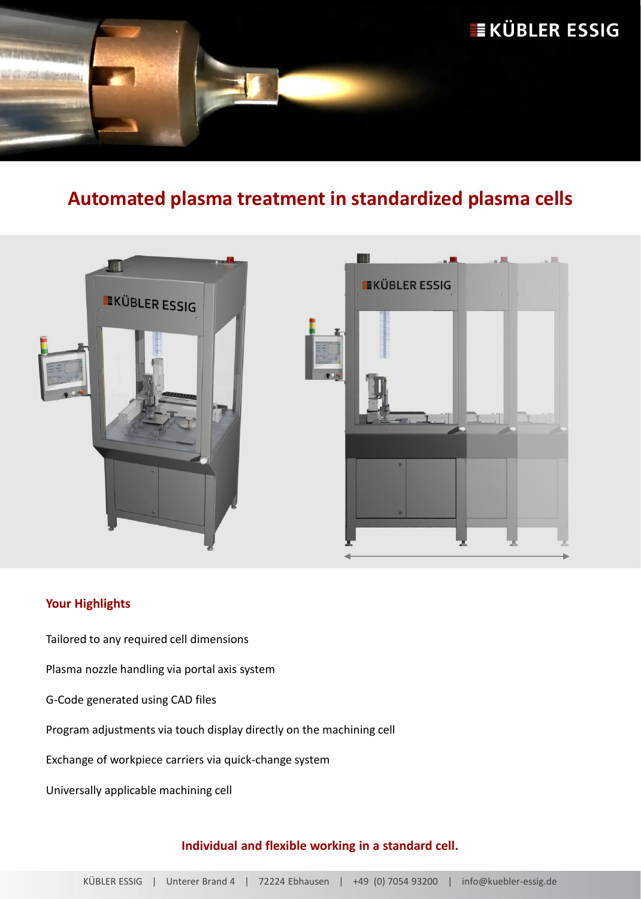

# **Automated plasma treatment in standardized plasma cells**



### **Your Highlights**

Tailored to any required cell dimensions

Plasma nozzle handling via portal axis system

G-Code generated using CAD files

Program adjustments via touch display directly on the machining cell

Exchange of workpiece carriers via quick-change system

Universally applicable machining cell

#### **Individual and flexible working in a standard cell.**